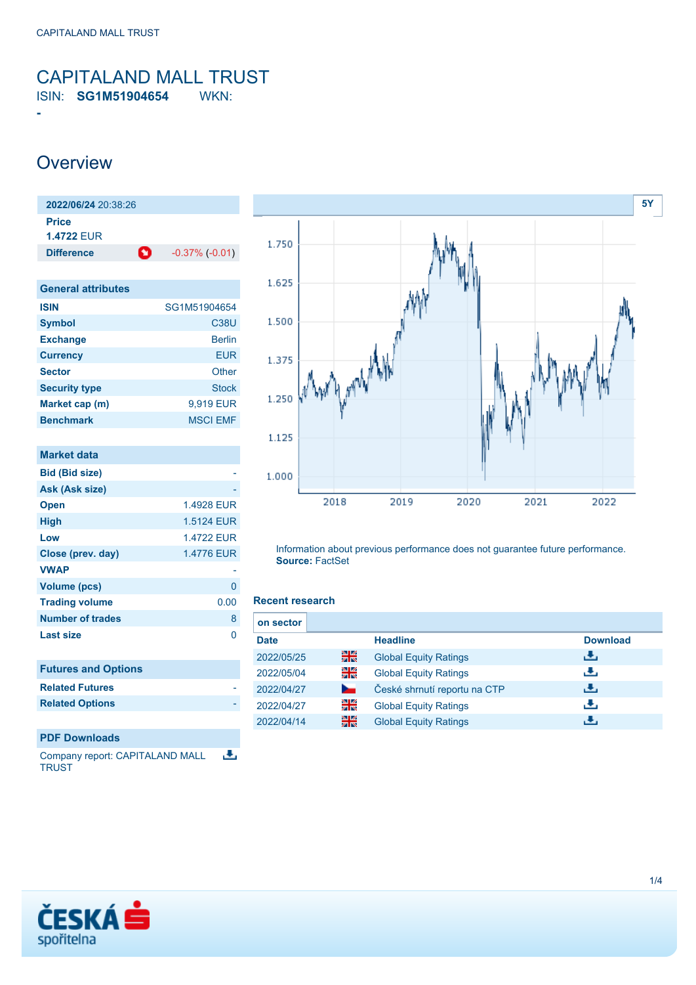### <span id="page-0-0"></span>CAPITALAND MALL TRUST ISIN: **SG1M51904654** WKN:

### **Overview**

**-**

| 2022/06/24 20:38:26        |   |                       |
|----------------------------|---|-----------------------|
| Price<br><b>1.4722 FUR</b> |   |                       |
| <b>Difference</b>          | O | $-0.37\%$ ( $-0.01$ ) |
|                            |   |                       |

| <b>General attributes</b> |                 |
|---------------------------|-----------------|
| <b>ISIN</b>               | SG1M51904654    |
| <b>Symbol</b>             | <b>C38U</b>     |
| <b>Exchange</b>           | <b>Berlin</b>   |
| <b>Currency</b>           | <b>EUR</b>      |
| <b>Sector</b>             | Other           |
| <b>Security type</b>      | <b>Stock</b>    |
| Market cap (m)            | 9,919 EUR       |
| <b>Benchmark</b>          | <b>MSCI EMF</b> |

| <b>Market data</b>         |                   |
|----------------------------|-------------------|
| <b>Bid (Bid size)</b>      |                   |
| Ask (Ask size)             |                   |
| <b>Open</b>                | 1.4928 EUR        |
| <b>High</b>                | 1.5124 EUR        |
| Low                        | <b>1.4722 EUR</b> |
| Close (prev. day)          | 1.4776 EUR        |
| <b>VWAP</b>                |                   |
| <b>Volume (pcs)</b>        | 0                 |
| <b>Trading volume</b>      | 0.00              |
| <b>Number of trades</b>    | 8                 |
| <b>Last size</b>           | 0                 |
|                            |                   |
| <b>Futures and Options</b> |                   |
| <b>Related Futures</b>     |                   |
| <b>Related Options</b>     |                   |
|                            |                   |
| <b>PDF Downloads</b>       |                   |
|                            |                   |

Company report: CAPITALAND MALL 选 **TRUST** 



Information about previous performance does not guarantee future performance. **Source:** FactSet

#### **Recent research**

| on sector   |    |                              |                 |
|-------------|----|------------------------------|-----------------|
| <b>Date</b> |    | <b>Headline</b>              | <b>Download</b> |
| 2022/05/25  | 을중 | <b>Global Equity Ratings</b> | رالى            |
| 2022/05/04  | 읡  | <b>Global Equity Ratings</b> | راق             |
| 2022/04/27  | ∽  | České shrnutí reportu na CTP | رنان            |
| 2022/04/27  | 읡k | <b>Global Equity Ratings</b> | æ,              |
| 2022/04/14  | 꾊  | <b>Global Equity Ratings</b> |                 |

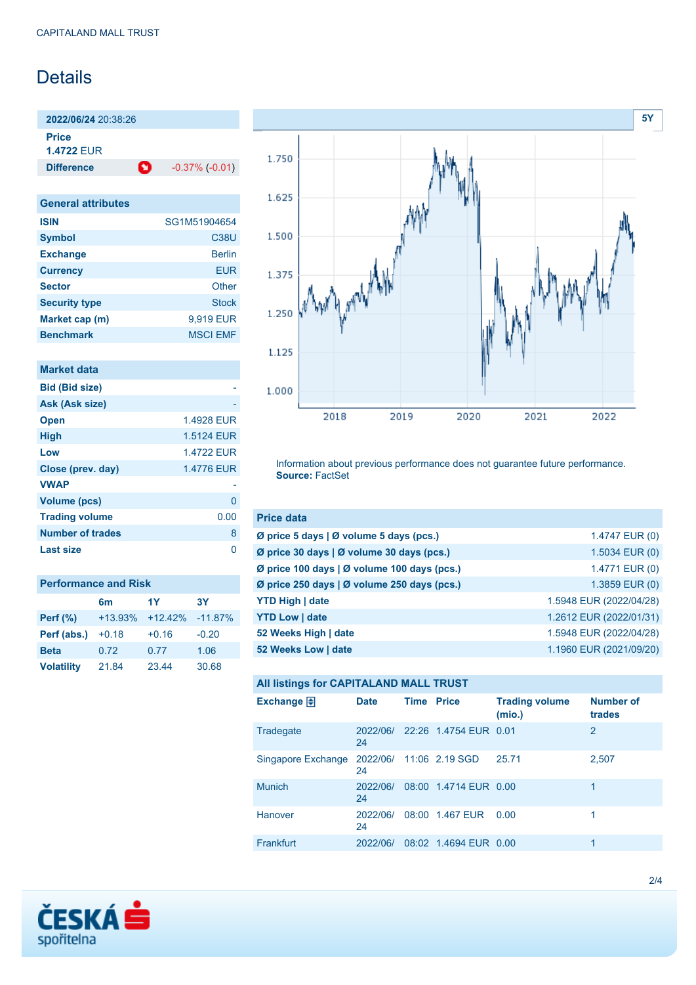### Details

**2022/06/24** 20:38:26 **Price**

**1.4722** EUR

**Difference 1** -0.37% (-0.01)

**General attributes ISIN** SG1M51904654 **Symbol** C38U **Exchange** Berlin **Currency** EUR **Sector** Other **Security type** Stock **Market cap (m)** 9,919 EUR **Benchmark** MSCI EMF

| Market data             |            |
|-------------------------|------------|
| <b>Bid (Bid size)</b>   |            |
| Ask (Ask size)          |            |
| <b>Open</b>             | 1.4928 EUR |
| <b>High</b>             | 1.5124 EUR |
| Low                     | 14722 FUR  |
| Close (prev. day)       | 1.4776 EUR |
| <b>VWAP</b>             |            |
| Volume (pcs)            | 0          |
| <b>Trading volume</b>   | 0.00       |
| <b>Number of trades</b> | 8          |
| Last size               |            |

| <b>Performance and Risk</b> |                |            |           |  |
|-----------------------------|----------------|------------|-----------|--|
|                             | 6 <sub>m</sub> | 1Y         | <b>3Y</b> |  |
| <b>Perf</b> (%)             | $+13.93%$      | $+12.42\%$ | $-11.87%$ |  |
| Perf (abs.)                 | $+0.18$        | $+0.16$    | $-0.20$   |  |
| <b>Beta</b>                 | 0.72           | 0.77       | 1.06      |  |
| <b>Volatility</b>           | 21.84          | 23.44      | 30.68     |  |



Information about previous performance does not guarantee future performance. **Source:** FactSet

| <b>Price data</b>                           |                         |
|---------------------------------------------|-------------------------|
| Ø price 5 days   Ø volume 5 days (pcs.)     | 1.4747 EUR (0)          |
| Ø price 30 days   Ø volume 30 days (pcs.)   | 1.5034 EUR (0)          |
| Ø price 100 days   Ø volume 100 days (pcs.) | 1.4771 EUR (0)          |
| Ø price 250 days   Ø volume 250 days (pcs.) | 1.3859 EUR (0)          |
| <b>YTD High   date</b>                      | 1.5948 EUR (2022/04/28) |
| <b>YTD Low   date</b>                       | 1.2612 EUR (2022/01/31) |
| 52 Weeks High   date                        | 1.5948 EUR (2022/04/28) |
| 52 Weeks Low   date                         | 1.1960 EUR (2021/09/20) |

### **All listings for CAPITALAND MALL TRUST**

| Exchange $\bigoplus$                       | <b>Date</b>    | <b>Time Price</b> |                       | <b>Trading volume</b><br>(mio.) | <b>Number of</b><br>trades |
|--------------------------------------------|----------------|-------------------|-----------------------|---------------------------------|----------------------------|
| Tradegate                                  | 2022/06/<br>24 |                   | 22:26 1.4754 EUR 0.01 |                                 | 2                          |
| Singapore Exchange 2022/06/ 11:06 2.19 SGD | 24             |                   |                       | 25.71                           | 2,507                      |
| <b>Munich</b>                              | 2022/06/<br>24 |                   | 08:00 1.4714 EUR 0.00 |                                 | 1                          |
| <b>Hanover</b>                             | 2022/06/<br>24 |                   | 08:00 1.467 EUR       | 0.00                            |                            |
| Frankfurt                                  | 2022/06/       |                   | 08:02 1.4694 EUR 0.00 |                                 |                            |

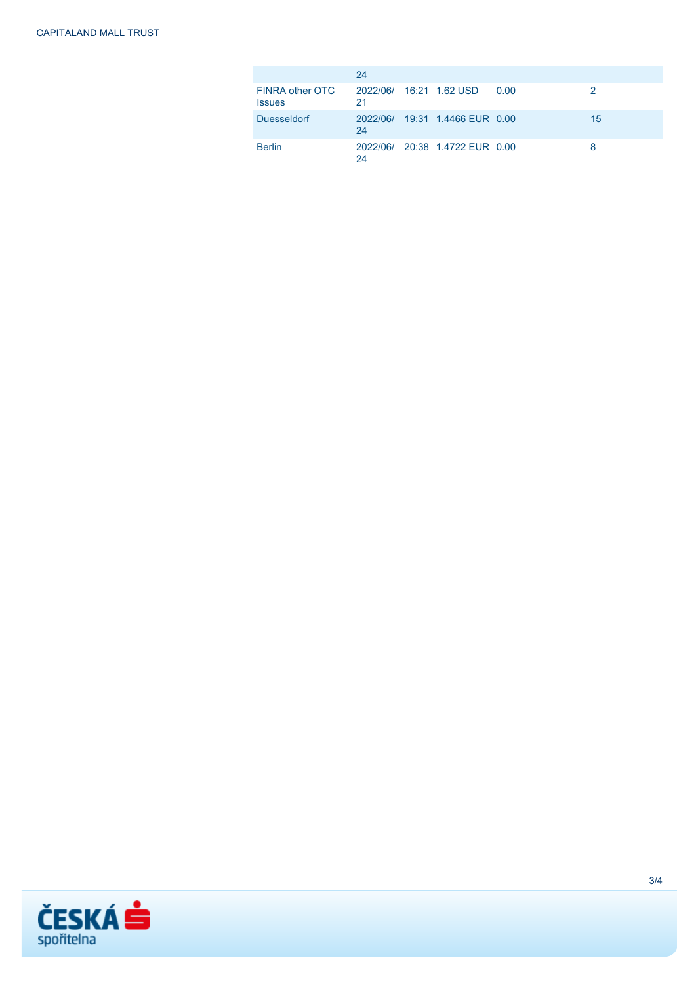|                                  | 24                            |                                |        |    |
|----------------------------------|-------------------------------|--------------------------------|--------|----|
| FINRA other OTC<br><b>Issues</b> | 2022/06/ 16:21 1.62 USD<br>21 |                                | - 0.00 |    |
| <b>Duesseldorf</b>               | 24                            | 2022/06/ 19:31 1.4466 EUR 0.00 |        | 15 |
| <b>Berlin</b>                    | 24                            | 2022/06/ 20:38 1.4722 EUR 0.00 |        | 8  |